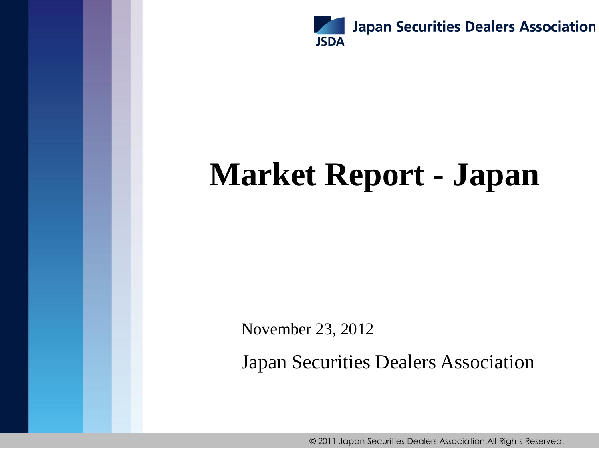

# **Market Report - Japan**

November 23, 2012

Japan Securities Dealers Association

© 2011 Japan Securities Dealers Association.All Rights Reserved.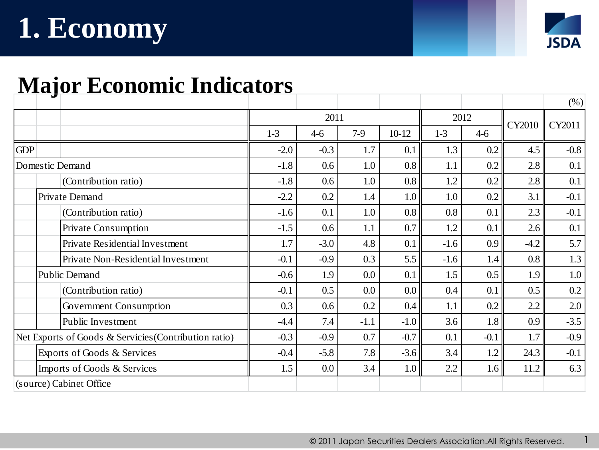# **1. Economy**



1

#### **Major Economic Indicators**

| ູ                                                     |        |        |        |                  |        |         |               | (%)     |
|-------------------------------------------------------|--------|--------|--------|------------------|--------|---------|---------------|---------|
|                                                       | 2011   |        |        |                  | 2012   |         | <b>CY2010</b> | CY2011  |
|                                                       | $1-3$  | $4-6$  | $7-9$  | $10-12$          | $1-3$  | $4 - 6$ |               |         |
| <b>GDP</b>                                            | $-2.0$ | $-0.3$ | 1.7    | 0.1              | 1.3    | 0.2     | 4.5           | $-0.8$  |
| Domestic Demand                                       | $-1.8$ | 0.6    | 1.0    | 0.8              | 1.1    | 0.2     | 2.8           | 0.1     |
| (Contribution ratio)                                  | $-1.8$ | 0.6    | 1.0    | 0.8              | 1.2    | 0.2     | 2.8           | 0.1     |
| Private Demand                                        | $-2.2$ | 0.2    | 1.4    | 1.0 <sub>l</sub> | 1.0    | 0.2     | 3.1           | $-0.1$  |
| (Contribution ratio)                                  | $-1.6$ | 0.1    | 1.0    | 0.8              | 0.8    | 0.1     | 2.3           | $-0.1$  |
| Private Consumption                                   | $-1.5$ | 0.6    | 1.1    | 0.7              | 1.2    | 0.1     | 2.6           | 0.1     |
| Private Residential Investment                        | 1.7    | $-3.0$ | 4.8    | 0.1              | $-1.6$ | 0.9     | $-4.2$        | 5.7     |
| Private Non-Residential Investment                    | $-0.1$ | $-0.9$ | 0.3    | 5.5              | $-1.6$ | 1.4     | 0.8           | 1.3     |
| <b>Public Demand</b>                                  | $-0.6$ | 1.9    | 0.0    | 0.1              | 1.5    | 0.5     | 1.9           | $1.0\,$ |
| (Contribution ratio)                                  | $-0.1$ | 0.5    | 0.0    | 0.0 <sub>1</sub> | 0.4    | 0.1     | 0.5           | 0.2     |
| Government Consumption                                | 0.3    | 0.6    | 0.2    | 0.4              | 1.1    | 0.2     | 2.2           | 2.0     |
| Public Investment                                     | $-4.4$ | 7.4    | $-1.1$ | $-1.0$           | 3.6    | 1.8     | 0.9           | $-3.5$  |
| Net Exports of Goods & Servicies (Contribution ratio) | $-0.3$ | $-0.9$ | 0.7    | $-0.7$           | 0.1    | $-0.1$  | 1.7           | $-0.9$  |
| Exports of Goods & Services                           | $-0.4$ | $-5.8$ | 7.8    | $-3.6$           | 3.4    | 1.2     | 24.3          | $-0.1$  |
| Imports of Goods & Services                           | 1.5    | 0.0    | 3.4    | 1.0              | 2.2    | 1.6     | 11.2          | 6.3     |
| (source) Cabinet Office                               |        |        |        |                  |        |         |               |         |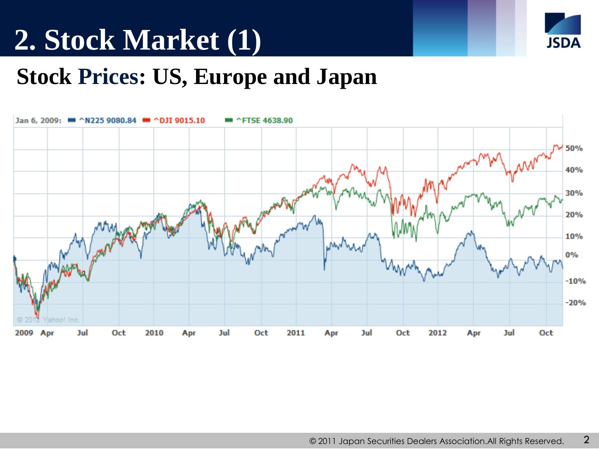# **2. Stock Market (1)**



#### **Stock Prices: US, Europe and Japan**

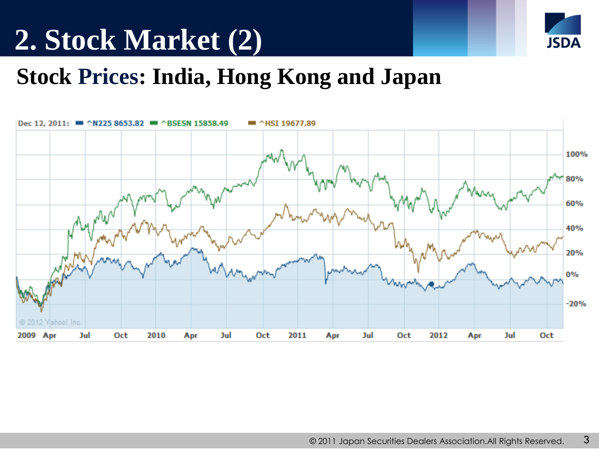## **2. Stock Market (2)**



#### **Stock Prices: India, Hong Kong and Japan**

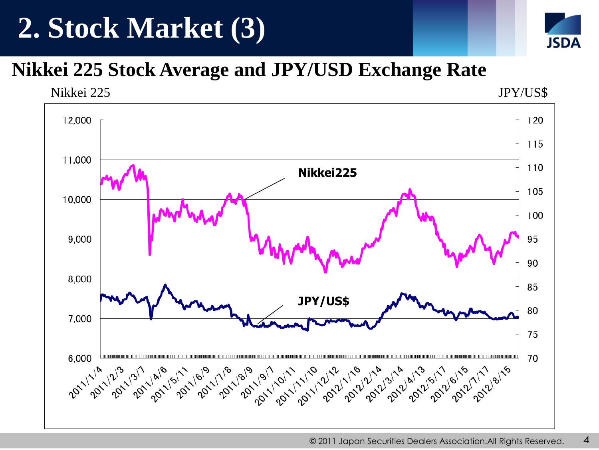## **2. Stock Market (3)**



#### **Nikkei 225 Stock Average and JPY/USD Exchange Rate**

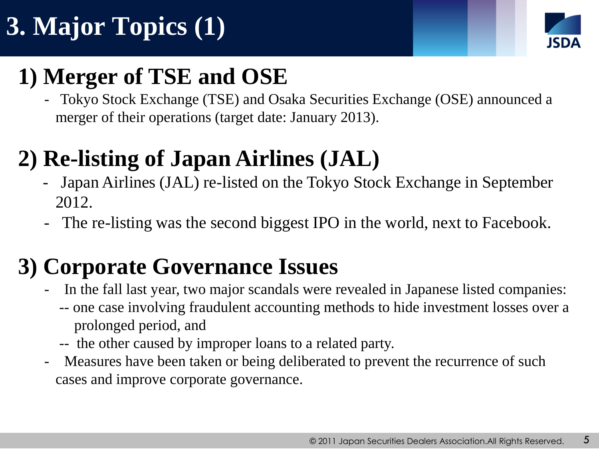# **3. Major Topics (1)**



#### **1) Merger of TSE and OSE**

 - Tokyo Stock Exchange (TSE) and Osaka Securities Exchange (OSE) announced a merger of their operations (target date: January 2013).

### **2) Re-listing of Japan Airlines (JAL)**

- Japan Airlines (JAL) re-listed on the Tokyo Stock Exchange in September 2012.
- The re-listing was the second biggest IPO in the world, next to Facebook.

#### **3) Corporate Governance Issues**

- In the fall last year, two major scandals were revealed in Japanese listed companies:
	- -- one case involving fraudulent accounting methods to hide investment losses over a prolonged period, and
	- -- the other caused by improper loans to a related party.
- Measures have been taken or being deliberated to prevent the recurrence of such cases and improve corporate governance.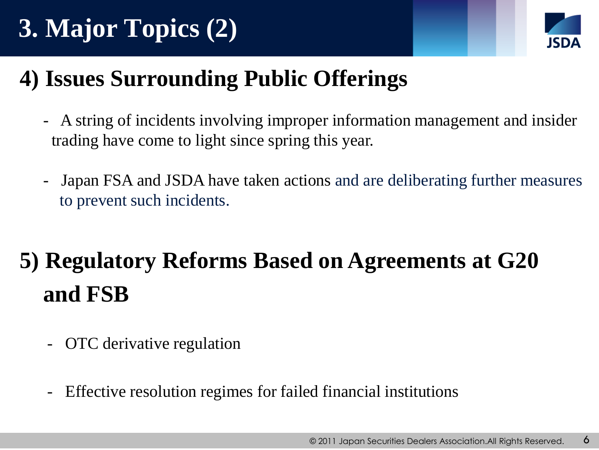# **3. Major Topics (2)**



### **4) Issues Surrounding Public Offerings**

- A string of incidents involving improper information management and insider trading have come to light since spring this year.
- Japan FSA and JSDA have taken actions and are deliberating further measures to prevent such incidents.

## **5) Regulatory Reforms Based on Agreements at G20 and FSB**

- OTC derivative regulation
- Effective resolution regimes for failed financial institutions